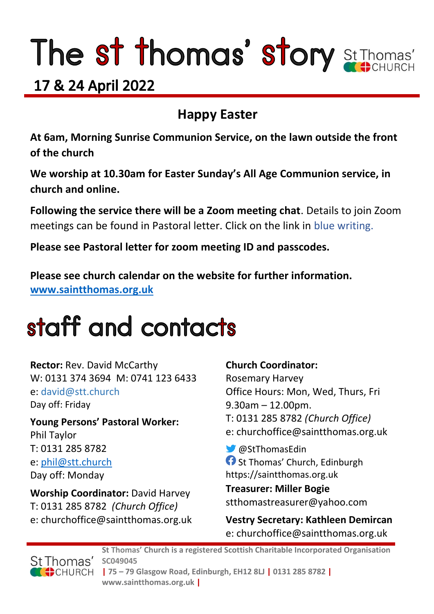# The st thomas' story St Thomas'

### 17 & 24 April 2022

### **Happy Easter**

**At 6am, Morning Sunrise Communion Service, on the lawn outside the front of the church**

**We worship at 10.30am for Easter Sunday's All Age Communion service, in church and online.** 

**Following the service there will be a Zoom meeting chat**. Details to join Zoom meetings can be found in Pastoral letter. Click on the link in blue writing.

**Please see Pastoral letter for zoom meeting ID and passcodes.**

**Please see church calendar on the website for further information. [www.saintthomas.org.uk](http://www.saintthomas.org.uk/)**

## staff and contacts

**Rector:** Rev. David McCarthy W: 0131 374 3694 M: 0741 123 6433 e: david@stt.church Day off: Friday

**Young Persons' Pastoral Worker:** Phil Taylor T: 0131 285 8782 e: [phil@stt.church](mailto:phil@stt.church) Day off: Monday

**Worship Coordinator:** David Harvey T: 0131 285 8782 *(Church Office)* e: churchoffice@saintthomas.org.uk

#### **Church Coordinator:**

Rosemary Harvey Office Hours: Mon, Wed, Thurs, Fri 9.30am – 12.00pm. T: 0131 285 8782 *(Church Office)* e: churchoffice@saintthomas.org.uk

@StThomasEdin **C** St Thomas' Church, Edinburgh https://saintthomas.org.uk

**Treasurer: Miller Bogie** stthomastreasurer@yahoo.com

**Vestry Secretary: Kathleen Demircan**  e: churchoffice@saintthomas.org.uk



**St Thomas' Church is a registered Scottish Charitable Incorporated Organisation SC049045 | 75 – 79 Glasgow Road, Edinburgh, EH12 8LJ | 0131 285 8782 | www.saintthomas.org.uk |**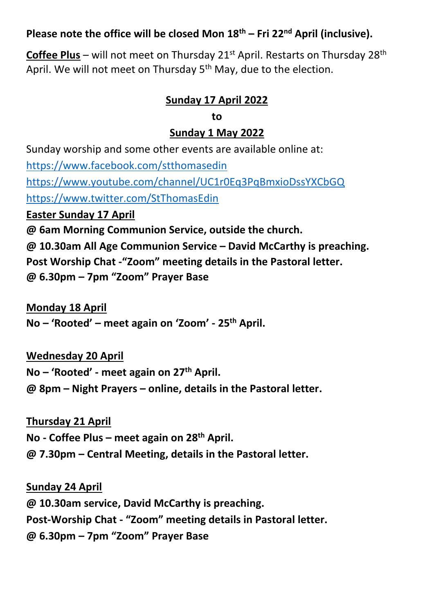#### **Please note the office will be closed Mon 18th – Fri 22nd April (inclusive).**

**Coffee Plus** – will not meet on Thursday 21<sup>st</sup> April. Restarts on Thursday 28<sup>th</sup> April. We will not meet on Thursday 5<sup>th</sup> May, due to the election.

#### **Sunday 17 April 2022**

#### **to**

#### **Sunday 1 May 2022**

Sunday worship and some other events are available online at: <https://www.facebook.com/stthomasedin> <https://www.youtube.com/channel/UC1r0Eq3PqBmxioDssYXCbGQ> <https://www.twitter.com/StThomasEdin> **Easter Sunday 17 April @ 6am Morning Communion Service, outside the church. @ 10.30am All Age Communion Service – David McCarthy is preaching. Post Worship Chat -"Zoom" meeting details in the Pastoral letter.**

**@ 6.30pm – 7pm "Zoom" Prayer Base**

**Monday 18 April**

**No – 'Rooted' – meet again on 'Zoom' - 25th April.**

#### **Wednesday 20 April**

**No – 'Rooted' - meet again on 27th April.**

**@ 8pm – Night Prayers – online, details in the Pastoral letter.**

#### **Thursday 21 April**

**No - Coffee Plus – meet again on 28th April.**

**@ 7.30pm – Central Meeting, details in the Pastoral letter.**

#### **Sunday 24 April**

**@ 10.30am service, David McCarthy is preaching. Post-Worship Chat - "Zoom" meeting details in Pastoral letter. @ 6.30pm – 7pm "Zoom" Prayer Base**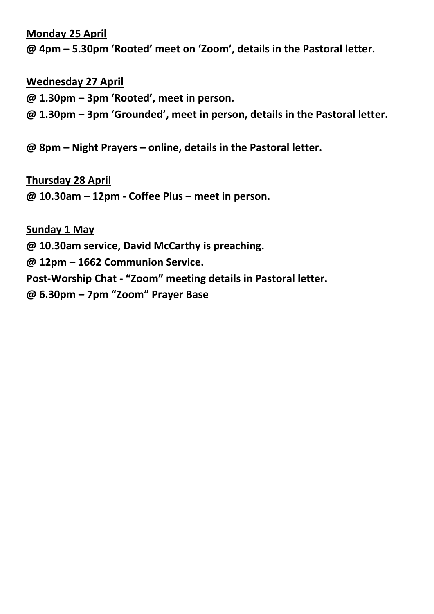#### **Monday 25 April**

**@ 4pm – 5.30pm 'Rooted' meet on 'Zoom', details in the Pastoral letter.**

#### **Wednesday 27 April**

**@ 1.30pm – 3pm 'Rooted', meet in person.**

**@ 1.30pm – 3pm 'Grounded', meet in person, details in the Pastoral letter.**

**@ 8pm – Night Prayers – online, details in the Pastoral letter.**

#### **Thursday 28 April**

**@ 10.30am – 12pm - Coffee Plus – meet in person.**

#### **Sunday 1 May**

**@ 10.30am service, David McCarthy is preaching.** 

**@ 12pm – 1662 Communion Service.**

**Post-Worship Chat - "Zoom" meeting details in Pastoral letter.**

**@ 6.30pm – 7pm "Zoom" Prayer Base**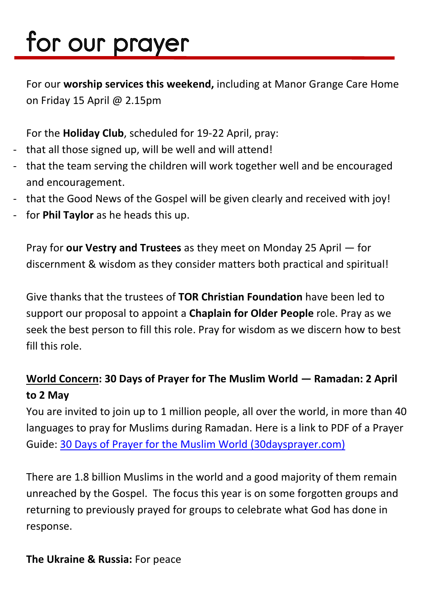# for our prayer

For our **worship services this weekend,** including at Manor Grange Care Home on Friday 15 April @ 2.15pm

For the **Holiday Club**, scheduled for 19-22 April, pray:

- that all those signed up, will be well and will attend!
- that the team serving the children will work together well and be encouraged and encouragement.
- that the Good News of the Gospel will be given clearly and received with joy!
- for **Phil Taylor** as he heads this up.

Pray for **our Vestry and Trustees** as they meet on Monday 25 April — for discernment & wisdom as they consider matters both practical and spiritual!

Give thanks that the trustees of **TOR Christian Foundation** have been led to support our proposal to appoint a **Chaplain for Older People** role. Pray as we seek the best person to fill this role. Pray for wisdom as we discern how to best fill this role.

#### **World Concern: 30 Days of Prayer for The Muslim World — Ramadan: 2 April to 2 May**

You are invited to join up to 1 million people, all over the world, in more than 40 languages to pray for Muslims during Ramadan. Here is a link to PDF of a Prayer Guide: [30 Days of Prayer for the Muslim World \(30daysprayer.com\)](https://www.30daysprayer.com/)

There are 1.8 billion Muslims in the world and a good majority of them remain unreached by the Gospel. The focus this year is on some forgotten groups and returning to previously prayed for groups to celebrate what God has done in response.

#### **The Ukraine & Russia:** For peace